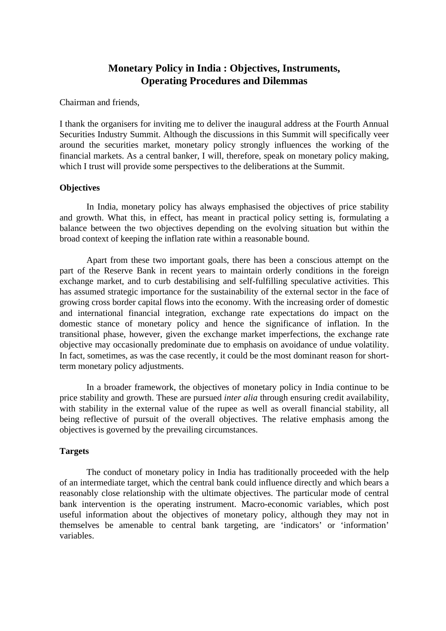# **Monetary Policy in India : Objectives, Instruments, Operating Procedures and Dilemmas**

Chairman and friends,

I thank the organisers for inviting me to deliver the inaugural address at the Fourth Annual Securities Industry Summit. Although the discussions in this Summit will specifically veer around the securities market, monetary policy strongly influences the working of the financial markets. As a central banker, I will, therefore, speak on monetary policy making, which I trust will provide some perspectives to the deliberations at the Summit.

## **Objectives**

In India, monetary policy has always emphasised the objectives of price stability and growth. What this, in effect, has meant in practical policy setting is, formulating a balance between the two objectives depending on the evolving situation but within the broad context of keeping the inflation rate within a reasonable bound.

Apart from these two important goals, there has been a conscious attempt on the part of the Reserve Bank in recent years to maintain orderly conditions in the foreign exchange market, and to curb destabilising and self-fulfilling speculative activities. This has assumed strategic importance for the sustainability of the external sector in the face of growing cross border capital flows into the economy. With the increasing order of domestic and international financial integration, exchange rate expectations do impact on the domestic stance of monetary policy and hence the significance of inflation. In the transitional phase, however, given the exchange market imperfections, the exchange rate objective may occasionally predominate due to emphasis on avoidance of undue volatility. In fact, sometimes, as was the case recently, it could be the most dominant reason for shortterm monetary policy adjustments.

In a broader framework, the objectives of monetary policy in India continue to be price stability and growth. These are pursued *inter alia* through ensuring credit availability, with stability in the external value of the rupee as well as overall financial stability, all being reflective of pursuit of the overall objectives. The relative emphasis among the objectives is governed by the prevailing circumstances.

## **Targets**

The conduct of monetary policy in India has traditionally proceeded with the help of an intermediate target, which the central bank could influence directly and which bears a reasonably close relationship with the ultimate objectives. The particular mode of central bank intervention is the operating instrument. Macro-economic variables, which post useful information about the objectives of monetary policy, although they may not in themselves be amenable to central bank targeting, are 'indicators' or 'information' variables.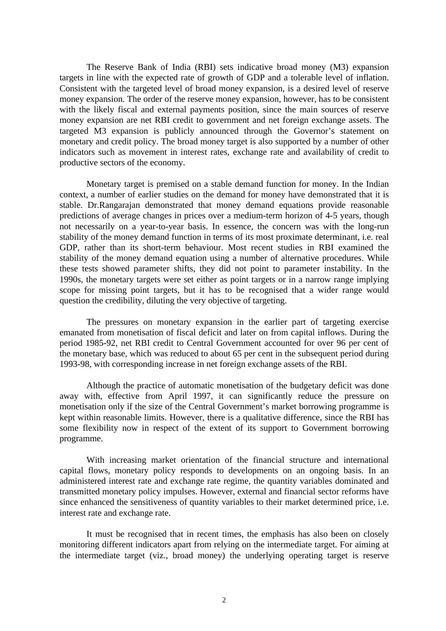The Reserve Bank of India (RBI) sets indicative broad money (M3) expansion targets in line with the expected rate of growth of GDP and a tolerable level of inflation. Consistent with the targeted level of broad money expansion, is a desired level of reserve money expansion. The order of the reserve money expansion, however, has to be consistent with the likely fiscal and external payments position, since the main sources of reserve money expansion are net RBI credit to government and net foreign exchange assets. The targeted M3 expansion is publicly announced through the Governor's statement on monetary and credit policy. The broad money target is also supported by a number of other indicators such as movement in interest rates, exchange rate and availability of credit to productive sectors of the economy.

Monetary target is premised on a stable demand function for money. In the Indian context, a number of earlier studies on the demand for money have demonstrated that it is stable. Dr.Rangarajan demonstrated that money demand equations provide reasonable predictions of average changes in prices over a medium-term horizon of 4-5 years, though not necessarily on a year-to-year basis. In essence, the concern was with the long-run stability of the money demand function in terms of its most proximate determinant, i.e. real GDP, rather than its short-term behaviour. Most recent studies in RBI examined the stability of the money demand equation using a number of alternative procedures. While these tests showed parameter shifts, they did not point to parameter instability. In the 1990s, the monetary targets were set either as point targets or in a narrow range implying scope for missing point targets, but it has to be recognised that a wider range would question the credibility, diluting the very objective of targeting.

The pressures on monetary expansion in the earlier part of targeting exercise emanated from monetisation of fiscal deficit and later on from capital inflows. During the period 1985-92, net RBI credit to Central Government accounted for over 96 per cent of the monetary base, which was reduced to about 65 per cent in the subsequent period during 1993-98, with corresponding increase in net foreign exchange assets of the RBI.

Although the practice of automatic monetisation of the budgetary deficit was done away with, effective from April 1997, it can significantly reduce the pressure on monetisation only if the size of the Central Government's market borrowing programme is kept within reasonable limits. However, there is a qualitative difference, since the RBI has some flexibility now in respect of the extent of its support to Government borrowing programme.

With increasing market orientation of the financial structure and international capital flows, monetary policy responds to developments on an ongoing basis. In an administered interest rate and exchange rate regime, the quantity variables dominated and transmitted monetary policy impulses. However, external and financial sector reforms have since enhanced the sensitiveness of quantity variables to their market determined price, i.e. interest rate and exchange rate.

It must be recognised that in recent times, the emphasis has also been on closely monitoring different indicators apart from relying on the intermediate target. For aiming at the intermediate target (viz., broad money) the underlying operating target is reserve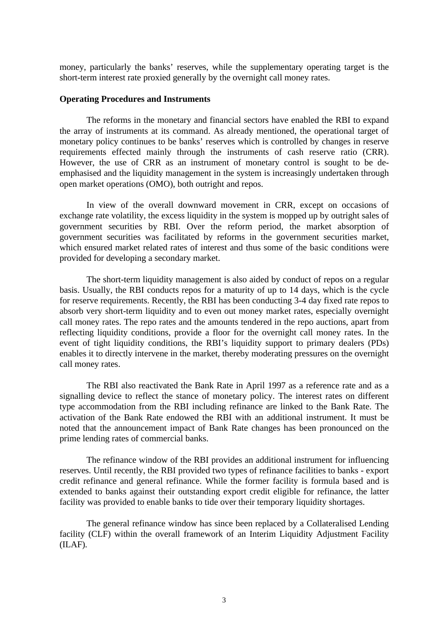money, particularly the banks' reserves, while the supplementary operating target is the short-term interest rate proxied generally by the overnight call money rates.

### **Operating Procedures and Instruments**

The reforms in the monetary and financial sectors have enabled the RBI to expand the array of instruments at its command. As already mentioned, the operational target of monetary policy continues to be banks' reserves which is controlled by changes in reserve requirements effected mainly through the instruments of cash reserve ratio (CRR). However, the use of CRR as an instrument of monetary control is sought to be deemphasised and the liquidity management in the system is increasingly undertaken through open market operations (OMO), both outright and repos.

In view of the overall downward movement in CRR, except on occasions of exchange rate volatility, the excess liquidity in the system is mopped up by outright sales of government securities by RBI. Over the reform period, the market absorption of government securities was facilitated by reforms in the government securities market, which ensured market related rates of interest and thus some of the basic conditions were provided for developing a secondary market.

The short-term liquidity management is also aided by conduct of repos on a regular basis. Usually, the RBI conducts repos for a maturity of up to 14 days, which is the cycle for reserve requirements. Recently, the RBI has been conducting 3-4 day fixed rate repos to absorb very short-term liquidity and to even out money market rates, especially overnight call money rates. The repo rates and the amounts tendered in the repo auctions, apart from reflecting liquidity conditions, provide a floor for the overnight call money rates. In the event of tight liquidity conditions, the RBI's liquidity support to primary dealers (PDs) enables it to directly intervene in the market, thereby moderating pressures on the overnight call money rates.

The RBI also reactivated the Bank Rate in April 1997 as a reference rate and as a signalling device to reflect the stance of monetary policy. The interest rates on different type accommodation from the RBI including refinance are linked to the Bank Rate. The activation of the Bank Rate endowed the RBI with an additional instrument. It must be noted that the announcement impact of Bank Rate changes has been pronounced on the prime lending rates of commercial banks.

The refinance window of the RBI provides an additional instrument for influencing reserves. Until recently, the RBI provided two types of refinance facilities to banks - export credit refinance and general refinance. While the former facility is formula based and is extended to banks against their outstanding export credit eligible for refinance, the latter facility was provided to enable banks to tide over their temporary liquidity shortages.

The general refinance window has since been replaced by a Collateralised Lending facility (CLF) within the overall framework of an Interim Liquidity Adjustment Facility (ILAF).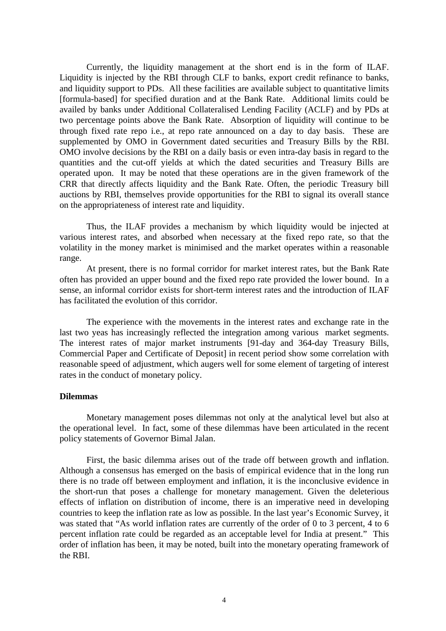Currently, the liquidity management at the short end is in the form of ILAF. Liquidity is injected by the RBI through CLF to banks, export credit refinance to banks, and liquidity support to PDs. All these facilities are available subject to quantitative limits [formula-based] for specified duration and at the Bank Rate. Additional limits could be availed by banks under Additional Collateralised Lending Facility (ACLF) and by PDs at two percentage points above the Bank Rate. Absorption of liquidity will continue to be through fixed rate repo i.e., at repo rate announced on a day to day basis. These are supplemented by OMO in Government dated securities and Treasury Bills by the RBI. OMO involve decisions by the RBI on a daily basis or even intra-day basis in regard to the quantities and the cut-off yields at which the dated securities and Treasury Bills are operated upon. It may be noted that these operations are in the given framework of the CRR that directly affects liquidity and the Bank Rate. Often, the periodic Treasury bill auctions by RBI, themselves provide opportunities for the RBI to signal its overall stance on the appropriateness of interest rate and liquidity.

Thus, the ILAF provides a mechanism by which liquidity would be injected at various interest rates, and absorbed when necessary at the fixed repo rate, so that the volatility in the money market is minimised and the market operates within a reasonable range.

At present, there is no formal corridor for market interest rates, but the Bank Rate often has provided an upper bound and the fixed repo rate provided the lower bound. In a sense, an informal corridor exists for short-term interest rates and the introduction of ILAF has facilitated the evolution of this corridor.

The experience with the movements in the interest rates and exchange rate in the last two yeas has increasingly reflected the integration among various market segments. The interest rates of major market instruments [91-day and 364-day Treasury Bills, Commercial Paper and Certificate of Deposit] in recent period show some correlation with reasonable speed of adjustment, which augers well for some element of targeting of interest rates in the conduct of monetary policy.

#### **Dilemmas**

Monetary management poses dilemmas not only at the analytical level but also at the operational level. In fact, some of these dilemmas have been articulated in the recent policy statements of Governor Bimal Jalan.

First, the basic dilemma arises out of the trade off between growth and inflation. Although a consensus has emerged on the basis of empirical evidence that in the long run there is no trade off between employment and inflation, it is the inconclusive evidence in the short-run that poses a challenge for monetary management. Given the deleterious effects of inflation on distribution of income, there is an imperative need in developing countries to keep the inflation rate as low as possible. In the last year's Economic Survey, it was stated that "As world inflation rates are currently of the order of 0 to 3 percent, 4 to 6 percent inflation rate could be regarded as an acceptable level for India at present." This order of inflation has been, it may be noted, built into the monetary operating framework of the RBI.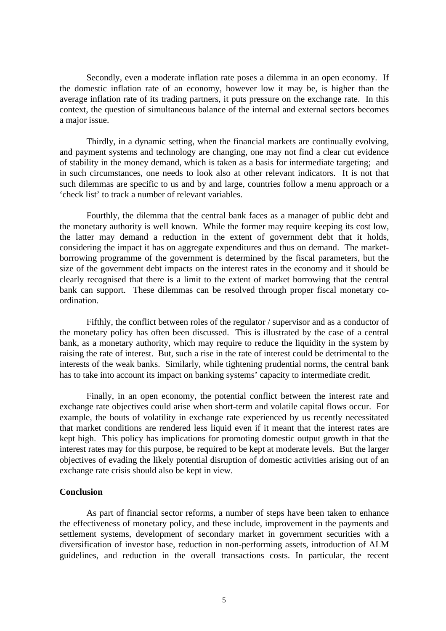Secondly, even a moderate inflation rate poses a dilemma in an open economy. If the domestic inflation rate of an economy, however low it may be, is higher than the average inflation rate of its trading partners, it puts pressure on the exchange rate. In this context, the question of simultaneous balance of the internal and external sectors becomes a major issue.

Thirdly, in a dynamic setting, when the financial markets are continually evolving, and payment systems and technology are changing, one may not find a clear cut evidence of stability in the money demand, which is taken as a basis for intermediate targeting; and in such circumstances, one needs to look also at other relevant indicators. It is not that such dilemmas are specific to us and by and large, countries follow a menu approach or a 'check list' to track a number of relevant variables.

Fourthly, the dilemma that the central bank faces as a manager of public debt and the monetary authority is well known. While the former may require keeping its cost low, the latter may demand a reduction in the extent of government debt that it holds, considering the impact it has on aggregate expenditures and thus on demand. The marketborrowing programme of the government is determined by the fiscal parameters, but the size of the government debt impacts on the interest rates in the economy and it should be clearly recognised that there is a limit to the extent of market borrowing that the central bank can support. These dilemmas can be resolved through proper fiscal monetary coordination.

Fifthly, the conflict between roles of the regulator / supervisor and as a conductor of the monetary policy has often been discussed. This is illustrated by the case of a central bank, as a monetary authority, which may require to reduce the liquidity in the system by raising the rate of interest. But, such a rise in the rate of interest could be detrimental to the interests of the weak banks. Similarly, while tightening prudential norms, the central bank has to take into account its impact on banking systems' capacity to intermediate credit.

Finally, in an open economy, the potential conflict between the interest rate and exchange rate objectives could arise when short-term and volatile capital flows occur. For example, the bouts of volatility in exchange rate experienced by us recently necessitated that market conditions are rendered less liquid even if it meant that the interest rates are kept high. This policy has implications for promoting domestic output growth in that the interest rates may for this purpose, be required to be kept at moderate levels. But the larger objectives of evading the likely potential disruption of domestic activities arising out of an exchange rate crisis should also be kept in view.

## **Conclusion**

As part of financial sector reforms, a number of steps have been taken to enhance the effectiveness of monetary policy, and these include, improvement in the payments and settlement systems, development of secondary market in government securities with a diversification of investor base, reduction in non-performing assets, introduction of ALM guidelines, and reduction in the overall transactions costs. In particular, the recent